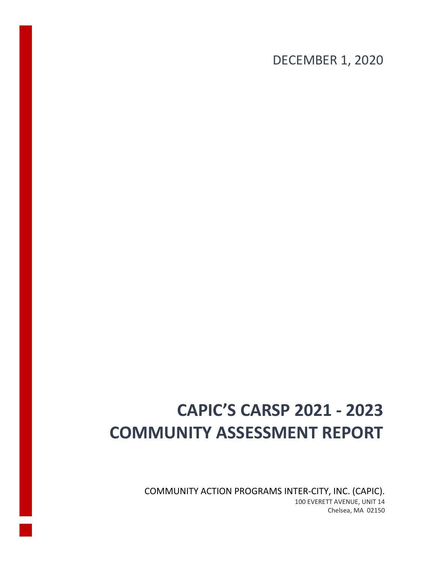DECEMBER 1, 2020

# **CAPIC'S CARSP 2021 - 2023 COMMUNITY ASSESSMENT REPORT**

COMMUNITY ACTION PROGRAMS INTER-CITY, INC. (CAPIC). 100 EVERETT AVENUE, UNIT 14 Chelsea, MA 02150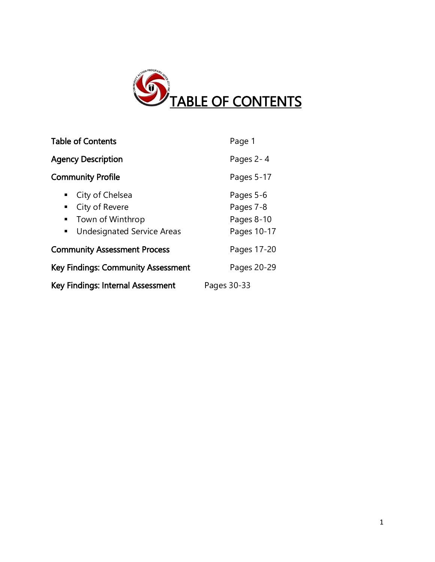

| <b>Table of Contents</b>                                                                   | Page 1                                              |  |
|--------------------------------------------------------------------------------------------|-----------------------------------------------------|--|
| <b>Agency Description</b>                                                                  | Pages 2-4                                           |  |
| <b>Community Profile</b>                                                                   | Pages 5-17                                          |  |
| City of Chelsea<br>City of Revere<br>Town of Winthrop<br><b>Undesignated Service Areas</b> | Pages 5-6<br>Pages 7-8<br>Pages 8-10<br>Pages 10-17 |  |
| <b>Community Assessment Process</b>                                                        | Pages 17-20                                         |  |
| <b>Key Findings: Community Assessment</b>                                                  | Pages 20-29                                         |  |
| Key Findings: Internal Assessment                                                          | Pages 30-33                                         |  |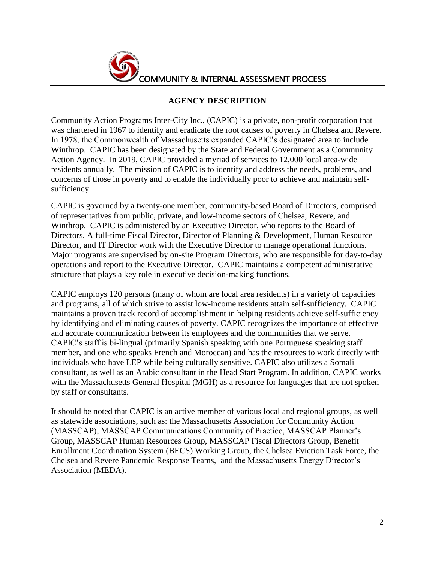

### **AGENCY DESCRIPTION**

Community Action Programs Inter-City Inc., (CAPIC) is a private, non-profit corporation that was chartered in 1967 to identify and eradicate the root causes of poverty in Chelsea and Revere. In 1978, the Commonwealth of Massachusetts expanded CAPIC's designated area to include Winthrop. CAPIC has been designated by the State and Federal Government as a Community Action Agency. In 2019, CAPIC provided a myriad of services to 12,000 local area-wide residents annually. The mission of CAPIC is to identify and address the needs, problems, and concerns of those in poverty and to enable the individually poor to achieve and maintain selfsufficiency.

CAPIC is governed by a twenty-one member, community-based Board of Directors, comprised of representatives from public, private, and low-income sectors of Chelsea, Revere, and Winthrop. CAPIC is administered by an Executive Director, who reports to the Board of Directors. A full-time Fiscal Director, Director of Planning & Development, Human Resource Director, and IT Director work with the Executive Director to manage operational functions. Major programs are supervised by on-site Program Directors, who are responsible for day-to-day operations and report to the Executive Director. CAPIC maintains a competent administrative structure that plays a key role in executive decision-making functions.

CAPIC employs 120 persons (many of whom are local area residents) in a variety of capacities and programs, all of which strive to assist low-income residents attain self-sufficiency. CAPIC maintains a proven track record of accomplishment in helping residents achieve self-sufficiency by identifying and eliminating causes of poverty. CAPIC recognizes the importance of effective and accurate communication between its employees and the communities that we serve. CAPIC's staff is bi-lingual (primarily Spanish speaking with one Portuguese speaking staff member, and one who speaks French and Moroccan) and has the resources to work directly with individuals who have LEP while being culturally sensitive. CAPIC also utilizes a Somali consultant, as well as an Arabic consultant in the Head Start Program. In addition, CAPIC works with the Massachusetts General Hospital (MGH) as a resource for languages that are not spoken by staff or consultants.

It should be noted that CAPIC is an active member of various local and regional groups, as well as statewide associations, such as: the Massachusetts Association for Community Action (MASSCAP), MASSCAP Communications Community of Practice, MASSCAP Planner's Group, MASSCAP Human Resources Group, MASSCAP Fiscal Directors Group, Benefit Enrollment Coordination System (BECS) Working Group, the Chelsea Eviction Task Force, the Chelsea and Revere Pandemic Response Teams, and the Massachusetts Energy Director's Association (MEDA).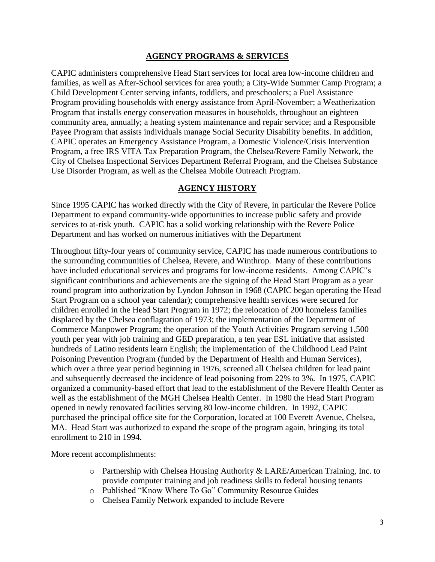### **AGENCY PROGRAMS & SERVICES**

CAPIC administers comprehensive Head Start services for local area low-income children and families, as well as After-School services for area youth; a City-Wide Summer Camp Program; a Child Development Center serving infants, toddlers, and preschoolers; a Fuel Assistance Program providing households with energy assistance from April-November; a Weatherization Program that installs energy conservation measures in households, throughout an eighteen community area, annually; a heating system maintenance and repair service; and a Responsible Payee Program that assists individuals manage Social Security Disability benefits. In addition, CAPIC operates an Emergency Assistance Program, a Domestic Violence/Crisis Intervention Program, a free IRS VITA Tax Preparation Program, the Chelsea/Revere Family Network, the City of Chelsea Inspectional Services Department Referral Program, and the Chelsea Substance Use Disorder Program, as well as the Chelsea Mobile Outreach Program.

### **AGENCY HISTORY**

Since 1995 CAPIC has worked directly with the City of Revere, in particular the Revere Police Department to expand community-wide opportunities to increase public safety and provide services to at-risk youth. CAPIC has a solid working relationship with the Revere Police Department and has worked on numerous initiatives with the Department

Throughout fifty-four years of community service, CAPIC has made numerous contributions to the surrounding communities of Chelsea, Revere, and Winthrop. Many of these contributions have included educational services and programs for low-income residents. Among CAPIC's significant contributions and achievements are the signing of the Head Start Program as a year round program into authorization by Lyndon Johnson in 1968 (CAPIC began operating the Head Start Program on a school year calendar); comprehensive health services were secured for children enrolled in the Head Start Program in 1972; the relocation of 200 homeless families displaced by the Chelsea conflagration of 1973; the implementation of the Department of Commerce Manpower Program; the operation of the Youth Activities Program serving 1,500 youth per year with job training and GED preparation, a ten year ESL initiative that assisted hundreds of Latino residents learn English; the implementation of the Childhood Lead Paint Poisoning Prevention Program (funded by the Department of Health and Human Services), which over a three year period beginning in 1976, screened all Chelsea children for lead paint and subsequently decreased the incidence of lead poisoning from 22% to 3%. In 1975, CAPIC organized a community-based effort that lead to the establishment of the Revere Health Center as well as the establishment of the MGH Chelsea Health Center. In 1980 the Head Start Program opened in newly renovated facilities serving 80 low-income children. In 1992, CAPIC purchased the principal office site for the Corporation, located at 100 Everett Avenue, Chelsea, MA. Head Start was authorized to expand the scope of the program again, bringing its total enrollment to 210 in 1994.

More recent accomplishments:

- o Partnership with Chelsea Housing Authority & LARE/American Training, Inc. to provide computer training and job readiness skills to federal housing tenants
- o Published "Know Where To Go" Community Resource Guides
- o Chelsea Family Network expanded to include Revere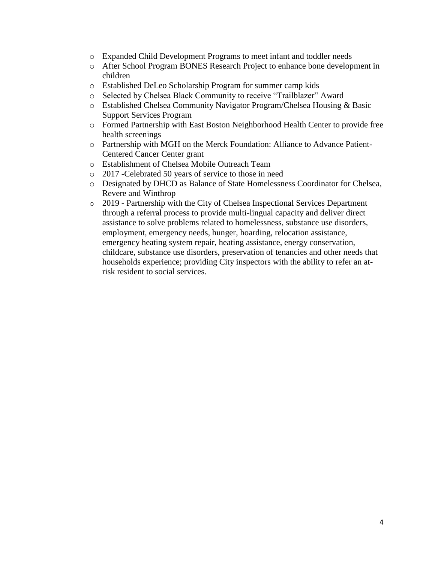- o Expanded Child Development Programs to meet infant and toddler needs
- o After School Program BONES Research Project to enhance bone development in children
- o Established DeLeo Scholarship Program for summer camp kids
- o Selected by Chelsea Black Community to receive "Trailblazer" Award
- o Established Chelsea Community Navigator Program/Chelsea Housing & Basic Support Services Program
- o Formed Partnership with East Boston Neighborhood Health Center to provide free health screenings
- o Partnership with MGH on the Merck Foundation: Alliance to Advance Patient-Centered Cancer Center grant
- o Establishment of Chelsea Mobile Outreach Team
- o 2017 -Celebrated 50 years of service to those in need
- o Designated by DHCD as Balance of State Homelessness Coordinator for Chelsea, Revere and Winthrop
- o 2019 Partnership with the City of Chelsea Inspectional Services Department through a referral process to provide multi-lingual capacity and deliver direct assistance to solve problems related to homelessness, substance use disorders, employment, emergency needs, hunger, hoarding, relocation assistance, emergency heating system repair, heating assistance, energy conservation, childcare, substance use disorders, preservation of tenancies and other needs that households experience; providing City inspectors with the ability to refer an atrisk resident to social services.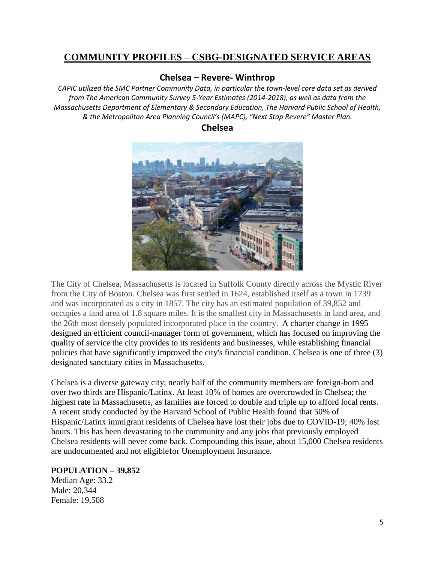# **COMMUNITY PROFILES – CSBG-DESIGNATED SERVICE AREAS**

### **Chelsea – Revere- Winthrop**

*CAPIC utilized the SMC Partner Community Data, in particular the town-level core data set as derived from The American Community Survey 5-Year Estimates (2014-2018), as well as data from the Massachusetts Department of Elementary & Secondary Education, The Harvard Public School of Health, & the Metropolitan Area Planning Council's (MAPC), "Next Stop Revere" Master Plan.*





The City of Chelsea, Massachusetts is located in Suffolk County directly across the Mystic River from the City of Boston. Chelsea was first settled in 1624, established itself as a town in 1739 and was incorporated as a city in 1857. The city has an estimated population of 39,852 and occupies a land area of 1.8 square miles. It is the smallest city in Massachusetts in land area, and the 26th most densely populated incorporated place in the country. A charter change in 1995 designed an efficient council-manager form of government, which has focused on improving the quality of service the city provides to its residents and businesses, while establishing financial policies that have significantly improved the city's financial condition. Chelsea is one of three (3) designated sanctuary cities in Massachusetts.

Chelsea is a diverse gateway city; nearly half of the community members are foreign-born and over two thirds are Hispanic/Latinx. At least 10% of homes are overcrowded in Chelsea; the highest rate in Massachusetts, as families are forced to double and triple up to afford local rents. A recent study conducted by the Harvard School of Public Health found that 50% of Hispanic/Latinx immigrant residents of Chelsea have lost their jobs due to COVID-19; 40% lost hours. This has been devastating to the community and any jobs that previously employed Chelsea residents will never come back. Compounding this issue, about 15,000 Chelsea residents are undocumented and not eligiblefor Unemployment Insurance.

### **POPULATION – 39,852**

Median Age: 33.2 Male: 20,344 Female: 19,508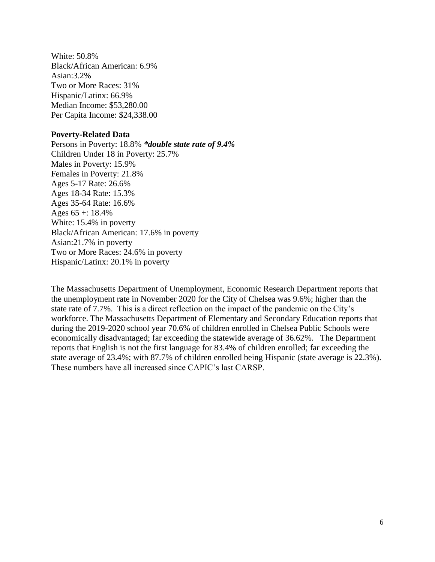White: 50.8% Black/African American: 6.9% Asian:3.2% Two or More Races: 31% Hispanic/Latinx: 66.9% Median Income: \$53,280.00 Per Capita Income: \$24,338.00

### **Poverty-Related Data**

Persons in Poverty: 18.8% *\*double state rate of 9.4%* Children Under 18 in Poverty: 25.7% Males in Poverty: 15.9% Females in Poverty: 21.8% Ages 5-17 Rate: 26.6% Ages 18-34 Rate: 15.3% Ages 35-64 Rate: 16.6% Ages  $65 + 18.4\%$ White: 15.4% in poverty Black/African American: 17.6% in poverty Asian:21.7% in poverty Two or More Races: 24.6% in poverty Hispanic/Latinx: 20.1% in poverty

The Massachusetts Department of Unemployment, Economic Research Department reports that the unemployment rate in November 2020 for the City of Chelsea was 9.6%; higher than the state rate of 7.7%. This is a direct reflection on the impact of the pandemic on the City's workforce. The Massachusetts Department of Elementary and Secondary Education reports that during the 2019-2020 school year 70.6% of children enrolled in Chelsea Public Schools were economically disadvantaged; far exceeding the statewide average of 36.62%. The Department reports that English is not the first language for 83.4% of children enrolled; far exceeding the state average of 23.4%; with 87.7% of children enrolled being Hispanic (state average is 22.3%). These numbers have all increased since CAPIC's last CARSP.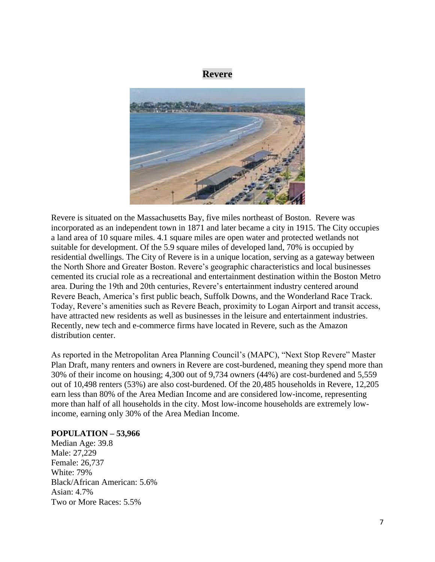### **Revere**



Revere is situated on the Massachusetts Bay, five miles northeast of Boston. Revere was incorporated as an independent town in 1871 and later became a city in 1915. The City occupies a land area of 10 square miles. 4.1 square miles are open water and protected wetlands not suitable for development. Of the 5.9 square miles of developed land, 70% is occupied by residential dwellings. The City of Revere is in a unique location, serving as a gateway between the North Shore and Greater Boston. Revere's geographic characteristics and local businesses cemented its crucial role as a recreational and entertainment destination within the Boston Metro area. During the 19th and 20th centuries, Revere's entertainment industry centered around Revere Beach, America's first public beach, Suffolk Downs, and the Wonderland Race Track. Today, Revere's amenities such as Revere Beach, proximity to Logan Airport and transit access, have attracted new residents as well as businesses in the leisure and entertainment industries. Recently, new tech and e-commerce firms have located in Revere, such as the Amazon distribution center.

As reported in the Metropolitan Area Planning Council's (MAPC), "Next Stop Revere" Master Plan Draft, many renters and owners in Revere are cost-burdened, meaning they spend more than 30% of their income on housing; 4,300 out of 9,734 owners (44%) are cost-burdened and 5,559 out of 10,498 renters (53%) are also cost-burdened. Of the 20,485 households in Revere, 12,205 earn less than 80% of the Area Median Income and are considered low-income, representing more than half of all households in the city. Most low-income households are extremely lowincome, earning only 30% of the Area Median Income.

#### **POPULATION – 53,966**

Median Age: 39.8 Male: 27,229 Female: 26,737 White: 79% Black/African American: 5.6% Asian: 4.7% Two or More Races: 5.5%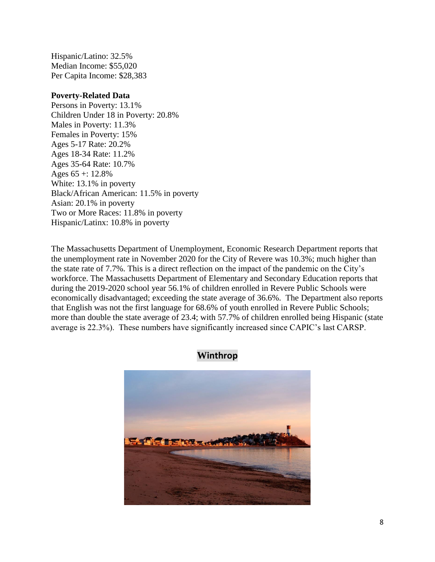Hispanic/Latino: 32.5% Median Income: \$55,020 Per Capita Income: \$28,383

### **Poverty-Related Data**

Persons in Poverty: 13.1% Children Under 18 in Poverty: 20.8% Males in Poverty: 11.3% Females in Poverty: 15% Ages 5-17 Rate: 20.2% Ages 18-34 Rate: 11.2% Ages 35-64 Rate: 10.7% Ages  $65 + 12.8\%$ White: 13.1% in poverty Black/African American: 11.5% in poverty Asian: 20.1% in poverty Two or More Races: 11.8% in poverty Hispanic/Latinx: 10.8% in poverty

The Massachusetts Department of Unemployment, Economic Research Department reports that the unemployment rate in November 2020 for the City of Revere was 10.3%; much higher than the state rate of 7.7%. This is a direct reflection on the impact of the pandemic on the City's workforce. The Massachusetts Department of Elementary and Secondary Education reports that during the 2019-2020 school year 56.1% of children enrolled in Revere Public Schools were economically disadvantaged; exceeding the state average of 36.6%. The Department also reports that English was not the first language for 68.6% of youth enrolled in Revere Public Schools; more than double the state average of 23.4; with 57.7% of children enrolled being Hispanic (state average is 22.3%). These numbers have significantly increased since CAPIC's last CARSP.



## **Winthrop**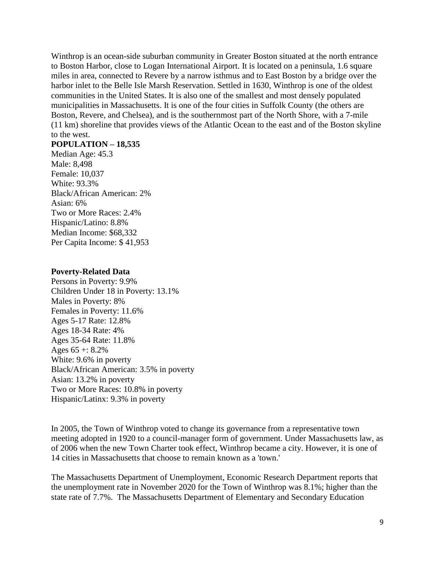Winthrop is an ocean-side suburban community in Greater Boston situated at the north entrance to Boston Harbor, close to Logan International Airport. It is located on a peninsula, 1.6 square miles in area, connected to Revere by a narrow isthmus and to East Boston by a bridge over the harbor inlet to the Belle Isle Marsh Reservation. Settled in 1630, Winthrop is one of the oldest communities in the United States. It is also one of the smallest and most densely populated municipalities in Massachusetts. It is one of the four cities in Suffolk County (the others are Boston, Revere, and Chelsea), and is the southernmost part of the North Shore, with a 7-mile (11 km) shoreline that provides views of the Atlantic Ocean to the east and of the Boston skyline to the west.

### **POPULATION – 18,535**

Median Age: 45.3 Male: 8,498 Female: 10,037 White: 93.3% Black/African American: 2% Asian: 6% Two or More Races: 2.4% Hispanic/Latino: 8.8% Median Income: \$68,332 Per Capita Income: \$ 41,953

#### **Poverty-Related Data**

Persons in Poverty: 9.9% Children Under 18 in Poverty: 13.1% Males in Poverty: 8% Females in Poverty: 11.6% Ages 5-17 Rate: 12.8% Ages 18-34 Rate: 4% Ages 35-64 Rate: 11.8% Ages  $65 + 8.2\%$ White: 9.6% in poverty Black/African American: 3.5% in poverty Asian: 13.2% in poverty Two or More Races: 10.8% in poverty Hispanic/Latinx: 9.3% in poverty

In 2005, the Town of Winthrop voted to change its governance from a representative town meeting adopted in 1920 to a council-manager form of government. Under Massachusetts law, as of 2006 when the new Town Charter took effect, Winthrop became a city. However, it is one of 14 cities in Massachusetts that choose to remain known as a 'town.'

The Massachusetts Department of Unemployment, Economic Research Department reports that the unemployment rate in November 2020 for the Town of Winthrop was 8.1%; higher than the state rate of 7.7%. The Massachusetts Department of Elementary and Secondary Education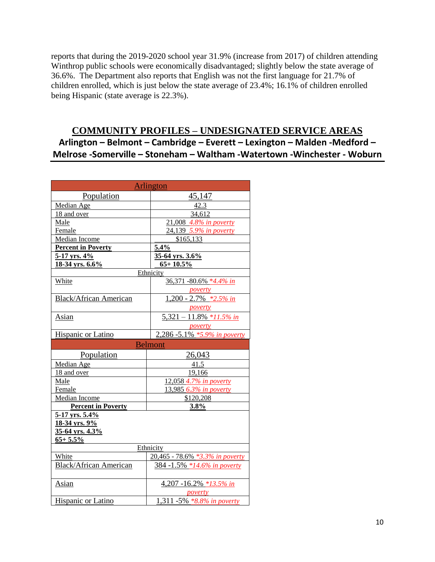reports that during the 2019-2020 school year 31.9% (increase from 2017) of children attending Winthrop public schools were economically disadvantaged; slightly below the state average of 36.6%. The Department also reports that English was not the first language for 21.7% of children enrolled, which is just below the state average of 23.4%; 16.1% of children enrolled being Hispanic (state average is 22.3%).

# **COMMUNITY PROFILES – UNDESIGNATED SERVICE AREAS Arlington – Belmont – Cambridge – Everett – Lexington – Malden -Medford – Melrose -Somerville – Stoneham – Waltham -Watertown -Winchester - Woburn**

| <b>Arlington</b>              |                                                                                 |  |
|-------------------------------|---------------------------------------------------------------------------------|--|
| Population                    | 45,147                                                                          |  |
| Median Age                    | 42.3                                                                            |  |
| 18 and over                   | 34,612                                                                          |  |
| Male                          | 21,008 4.8% in poverty                                                          |  |
| Female                        | 24,139 5.9% in poverty                                                          |  |
| Median Income                 | \$165,133                                                                       |  |
| <b>Percent in Poverty</b>     | 5.4%                                                                            |  |
| 5-17 yrs. 4%                  | 35-64 yrs. 3.6%                                                                 |  |
| 18-34 yrs. 6.6%               | $65 + 10.5\%$                                                                   |  |
|                               | Ethnicity                                                                       |  |
| White                         | 36,371 -80.6% *4.4% in                                                          |  |
|                               | poverty                                                                         |  |
| <b>Black/African American</b> | $1,200 - 2.7\%$ *2.5% in                                                        |  |
|                               | poverty                                                                         |  |
| Asian                         | $\frac{5,321 - 11.8\% * 11.5\% \text{ in}}{5,321 - 11.8\% * 11.5\% \text{ in}}$ |  |
|                               | poverty                                                                         |  |
| Hispanic or Latino            | 2,286 -5.1% *5.9% in poverty                                                    |  |
|                               | <b>Belmont</b>                                                                  |  |
| Population                    | 26,043                                                                          |  |
| Median Age                    | 41.5                                                                            |  |
| 18 and over                   | 19,166                                                                          |  |
| Male                          | 12,058 4.7% in poverty                                                          |  |
| Female                        | 13,985 6.3% in poverty                                                          |  |
| <b>Median Income</b>          | \$120,208                                                                       |  |
| <b>Percent in Poverty</b>     | 3.8%                                                                            |  |
| 5-17 yrs. 5.4%                |                                                                                 |  |
| 18-34 yrs. 9%                 |                                                                                 |  |
| 35-64 yrs. 4.3%               |                                                                                 |  |
| $65 + 5.5\%$                  |                                                                                 |  |
| Ethnicity                     |                                                                                 |  |
| White                         | 20,465 - 78.6% *3.3% in poverty                                                 |  |
| <b>Black/African American</b> | 384 -1.5% *14.6% in poverty                                                     |  |
| Asian                         | 4,207 -16.2% *13.5% in                                                          |  |
|                               | poverty                                                                         |  |
| Hispanic or Latino            | <u>1,311 -5% *8.8% in poverty</u>                                               |  |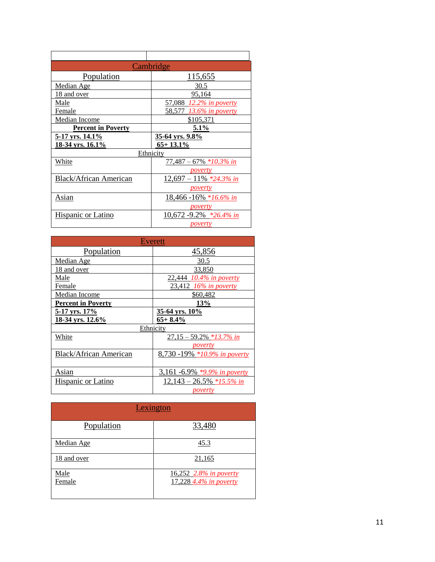| Cambridge                     |                            |
|-------------------------------|----------------------------|
| Population                    | 115,655                    |
| Median Age                    | 30.5                       |
| <u>18 and over</u>            | <u>95,164</u>              |
| Male                          | 57,088 12.2% in poverty    |
| Female                        | 58,577 13.6% in poverty    |
| <b>Median Income</b>          | \$105,371                  |
| <b>Percent in Poverty</b>     | 5.1%                       |
| <u>5-17 yrs. 14.1%</u>        | <u>35-64 yrs. 9.8%</u>     |
|                               |                            |
| 18-34 yrs. 16.1%              | $65+13.1\%$                |
|                               | Ethnicity                  |
| White                         | $77,487 - 67\% *10.3\%$ in |
|                               | <i>poverty</i>             |
| <b>Black/African American</b> | $12,697 - 11\%$ *24.3% in  |
|                               | <i>poverty</i>             |
| Asian                         | 18,466 -16% *16.6% in      |
|                               | <i>poverty</i>             |
| <b>Hispanic or Latino</b>     | 10,672 -9.2% *26.4% in     |

| Everett                       |                              |  |
|-------------------------------|------------------------------|--|
| Population                    | 45,856                       |  |
| Median Age                    | 30.5                         |  |
| 18 and over                   | 33,850                       |  |
| Male                          | 22,444 10.4% in poverty      |  |
| Female                        | 23,412 16% in poverty        |  |
| Median Income                 | \$60,482                     |  |
| <b>Percent in Poverty</b>     | <b>13%</b>                   |  |
| <u>5-17 yrs. 17%</u>          | 35-64 yrs. 10%               |  |
| 18-34 yrs. 12.6%              | $65+8.4%$                    |  |
| Ethnicity                     |                              |  |
| White                         | $27,15 - 59.2\%$ *13.7% in   |  |
|                               | poverty                      |  |
| <b>Black/African American</b> | 8,730 -19% *10.9% in poverty |  |
|                               |                              |  |
| Asian                         | 3,161 -6.9% *9.9% in poverty |  |
| Hispanic or Latino            | $12,143 - 26.5\%$ *15.5% in  |  |
|                               | <u>poverty</u>               |  |

| Lexington      |                                                  |
|----------------|--------------------------------------------------|
| Population     | 33,480                                           |
| Median Age     | <u>45.3</u>                                      |
| 18 and over    | 21,165                                           |
| Male<br>Female | 16,252 2.8% in poverty<br>17,228 4.4% in poverty |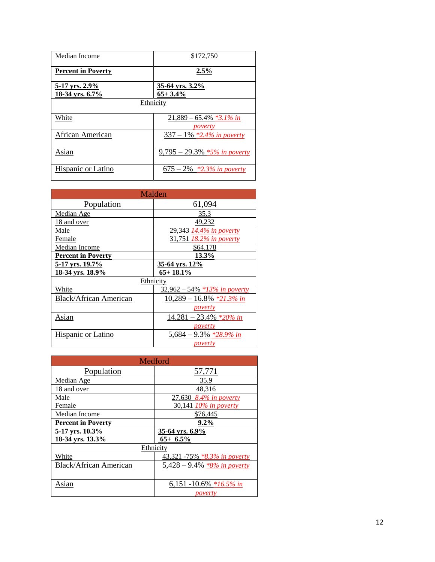| Median Income                     | \$172,750                             |
|-----------------------------------|---------------------------------------|
| <b>Percent in Poverty</b>         | 2.5%                                  |
| 5-17 yrs. 2.9%<br>18-34 yrs. 6.7% | 35-64 yrs. 3.2%<br>$65+3.4%$          |
|                                   | Ethnicity                             |
| White                             | $21,889 - 65.4\%$ *3.1% in<br>poverty |
| African American                  | $337 - 1\%$ *2.4% in poverty          |
| Asian                             | $9,795 - 29.3\%$ *5% in poverty       |
| Hispanic or Latino                | $675 - 2\%$ *2.3% in poverty          |

| Malden                        |                                 |
|-------------------------------|---------------------------------|
| Population                    | 61,094                          |
| Median Age                    | 35.3                            |
| 18 and over                   | 49,232                          |
| Male                          | 29,343 14.4% in poverty         |
| Female                        | 31,751 18.2% in poverty         |
| Median Income                 | \$64,178                        |
| <b>Percent in Poverty</b>     | 13.3%                           |
| 5-17 yrs. 19.7%               | 35-64 yrs. 12%                  |
|                               |                                 |
| 18-34 yrs. 18.9%              | $65 + 18.1\%$                   |
|                               | Ethnicity                       |
| White                         | $32,962 - 54\%$ *13% in poverty |
| <b>Black/African American</b> | $10,289 - 16.8\%$ *21.3% in     |
|                               | <i>poverty</i>                  |
| Asian                         | $14,281 - 23.4\%$ *20% in       |
|                               | poverty                         |
| Hispanic or Latino            | $5,684 - 9.3\%$ *28.9% in       |

| Medford                       |                                |
|-------------------------------|--------------------------------|
| Population                    | 57,771                         |
| Median Age                    | 35.9                           |
| 18 and over                   | 48,316                         |
| Male                          | 27,630 8.4% in poverty         |
| Female                        | 30,141 10% in poverty          |
| Median Income                 | \$76,445                       |
| <b>Percent in Poverty</b>     | $9.2\%$                        |
| 5-17 yrs. 10.3%               | 35-64 yrs. 6.9%                |
| 18-34 yrs. 13.3%              | $65+ 6.5\%$                    |
| Ethnicity                     |                                |
| White                         | 43,321 -75% *8.3% in poverty   |
| <b>Black/African American</b> | 5,428 – 9.4% $*8\%$ in poverty |
|                               |                                |
| Asian                         | 6,151 -10.6% *16.5% in         |
|                               | poverty                        |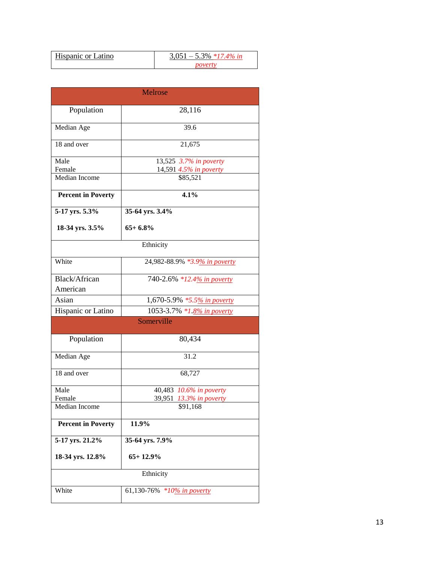| <b>Hispanic or Latino</b> | $0.051 - 5.3\%$ *17.4% in |
|---------------------------|---------------------------|
|                           |                           |

| <b>Melrose</b>            |                                                               |
|---------------------------|---------------------------------------------------------------|
| Population                | 28,116                                                        |
| Median Age                | 39.6                                                          |
| 18 and over               | 21,675                                                        |
| Male<br>Female            | $\overline{13,525}$ 3.7% in poverty<br>14,591 4.5% in poverty |
| Median Income             | \$85,521                                                      |
| <b>Percent in Poverty</b> | 4.1%                                                          |
| 5-17 yrs. 5.3%            | 35-64 yrs. 3.4%                                               |
| 18-34 yrs. 3.5%           | $65+6.8%$                                                     |
|                           | Ethnicity                                                     |
| White                     | 24,982-88.9% *3.9% in poverty                                 |
| Black/African<br>American | 740-2.6% *12.4% in poverty                                    |
| Asian                     | 1,670-5.9% *5.5% in poverty                                   |
| Hispanic or Latino        | 1053-3.7% *1.8% in poverty                                    |
|                           | Somerville                                                    |
| Population                | 80,434                                                        |
| Median Age                | 31.2                                                          |
| 18 and over               | 68,727                                                        |
| Male                      | 40,483 10.6% in poverty                                       |
| Female                    | 39,951 13.3% in poverty                                       |
| Median Income             | \$91,168                                                      |
| <b>Percent in Poverty</b> | 11.9%                                                         |
| 5-17 yrs. 21.2%           | 35-64 yrs. 7.9%                                               |
| 18-34 yrs. 12.8%          | $65+12.9%$                                                    |
|                           | Ethnicity                                                     |
| White                     | 61,130-76% *10% in poverty                                    |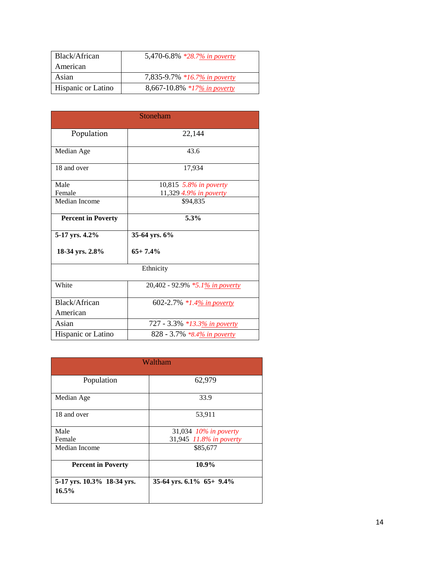| Black/African             | 5,470-6.8% *28.7% in poverty |
|---------------------------|------------------------------|
| American                  |                              |
| Asian                     | 7,835-9.7% *16.7% in poverty |
| <b>Hispanic or Latino</b> | 8,667-10.8% *17% in poverty  |

| Stoneham                  |                                 |  |
|---------------------------|---------------------------------|--|
| Population                | 22,144                          |  |
| Median Age                | 43.6                            |  |
| 18 and over               | 17,934                          |  |
| Male                      | 10,815 5.8% in poverty          |  |
| Female                    | 11,329 4.9% in poverty          |  |
| Median Income             | \$94,835                        |  |
| <b>Percent in Poverty</b> | 5.3%                            |  |
| 5-17 yrs. 4.2%            | 35-64 yrs. 6%                   |  |
| 18-34 yrs. 2.8%           | $65+7.4%$                       |  |
| Ethnicity                 |                                 |  |
| White                     | 20,402 - 92.9% *5.1% in poverty |  |
| Black/African             | 602-2.7% *1.4% in poverty       |  |
| American                  |                                 |  |
| Asian                     | 727 - 3.3% *13.3% in poverty    |  |
| Hispanic or Latino        | 828 - 3.7% *8.4% in poverty     |  |

| Waltham                             |                             |  |
|-------------------------------------|-----------------------------|--|
| Population                          | 62,979                      |  |
| Median Age                          | 33.9                        |  |
| 18 and over                         | 53,911                      |  |
| Male                                | 31,034 10% in poverty       |  |
| Female                              | 31,945 11.8% in poverty     |  |
| Median Income                       | \$85,677                    |  |
| <b>Percent in Poverty</b>           | 10.9%                       |  |
| 5-17 yrs. 10.3% 18-34 yrs.<br>16.5% | 35-64 yrs. $6.1\%$ 65+ 9.4% |  |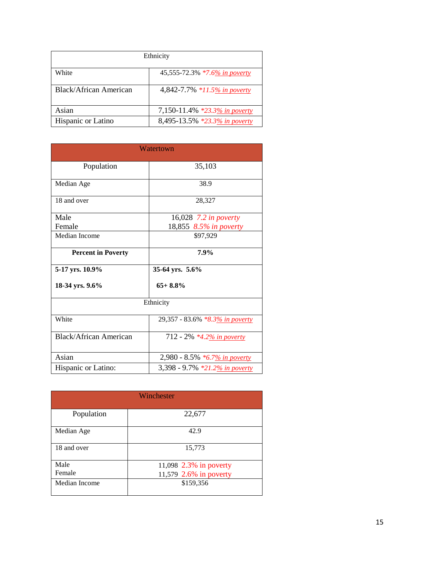| Ethnicity              |                               |  |
|------------------------|-------------------------------|--|
| White                  | 45,555-72.3% *7.6% in poverty |  |
| Black/African American | 4,842-7.7% *11.5% in poverty  |  |
| Asian                  | 7,150-11.4% *23.3% in poverty |  |
| Hispanic or Latino     | 8,495-13.5% *23.3% in poverty |  |

| Watertown                     |                                 |  |  |
|-------------------------------|---------------------------------|--|--|
| Population                    | 35,103                          |  |  |
| Median Age                    | 38.9                            |  |  |
| 18 and over                   | 28,327                          |  |  |
| Male                          | 16,028 7.2 in poverty           |  |  |
| Female                        | 18,855 8.5% in poverty          |  |  |
| Median Income                 | \$97,929                        |  |  |
| <b>Percent in Poverty</b>     | 7.9%                            |  |  |
| 5-17 yrs. 10.9%               | 35-64 yrs. 5.6%                 |  |  |
| 18-34 yrs. 9.6%               | $65+8.8%$                       |  |  |
| Ethnicity                     |                                 |  |  |
| White                         | 29,357 - 83.6% *8.3% in poverty |  |  |
| <b>Black/African American</b> | 712 - 2% *4.2% in poverty       |  |  |
| Asian                         | 2,980 - 8.5% *6.7% in poverty   |  |  |
| Hispanic or Latino:           | 3,398 - 9.7% *21.2% in poverty  |  |  |

| Winchester    |                        |  |  |
|---------------|------------------------|--|--|
| Population    | 22,677                 |  |  |
| Median Age    | 42.9                   |  |  |
| 18 and over   | 15,773                 |  |  |
| Male          | 11,098 2.3% in poverty |  |  |
| Female        | 11,579 2.6% in poverty |  |  |
| Median Income | \$159,356              |  |  |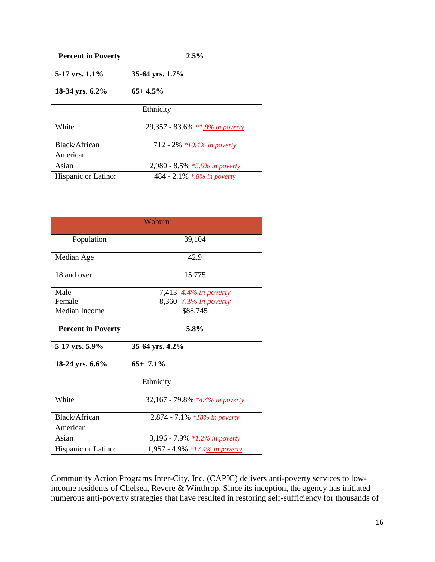| <b>Percent in Poverty</b> | $2.5\%$                         |  |  |
|---------------------------|---------------------------------|--|--|
| 5-17 yrs. 1.1%            | 35-64 yrs. 1.7%                 |  |  |
| 18-34 yrs. 6.2%           | $65+4.5%$                       |  |  |
| Ethnicity                 |                                 |  |  |
| White                     | 29,357 - 83.6% *1.8% in poverty |  |  |
| Black/African             | 712 - 2% *10.4% in poverty      |  |  |
| American                  |                                 |  |  |
| Asian                     | 2,980 - 8.5% *5.5% in poverty   |  |  |
| Hispanic or Latino:       | 484 - 2.1% *.8% in poverty      |  |  |

| Woburn                    |                                 |  |  |
|---------------------------|---------------------------------|--|--|
| Population                | 39,104                          |  |  |
| Median Age                | 42.9                            |  |  |
| 18 and over               | 15,775                          |  |  |
| Male                      | 7,413 4.4% in poverty           |  |  |
| Female                    | 8,360 7.3% in poverty           |  |  |
| Median Income             | \$88,745                        |  |  |
| <b>Percent in Poverty</b> | 5.8%                            |  |  |
| 5-17 yrs. 5.9%            | 35-64 yrs. 4.2%                 |  |  |
| 18-24 yrs. 6.6%           | $65+7.1%$                       |  |  |
| Ethnicity                 |                                 |  |  |
| White                     | 32,167 - 79.8% *4.4% in poverty |  |  |
| Black/African             | 2,874 - 7.1% *18% in poverty    |  |  |
| American                  |                                 |  |  |
| Asian                     | 3,196 - 7.9% *1.2% in poverty   |  |  |
| Hispanic or Latino:       | 1,957 - 4.9% *17.4% in poverty  |  |  |

Community Action Programs Inter-City, Inc. (CAPIC) delivers anti-poverty services to lowincome residents of Chelsea, Revere & Winthrop. Since its inception, the agency has initiated numerous anti-poverty strategies that have resulted in restoring self-sufficiency for thousands of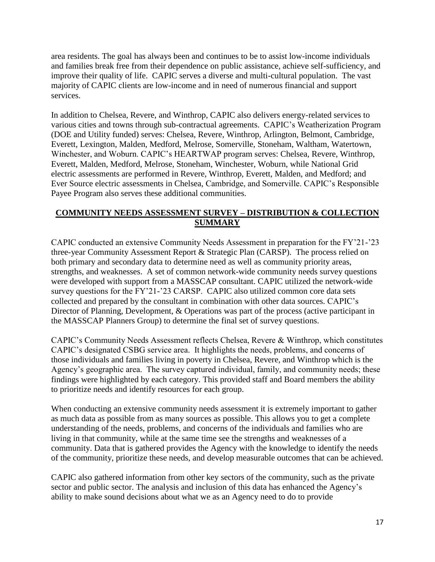area residents. The goal has always been and continues to be to assist low-income individuals and families break free from their dependence on public assistance, achieve self-sufficiency, and improve their quality of life. CAPIC serves a diverse and multi-cultural population. The vast majority of CAPIC clients are low-income and in need of numerous financial and support services.

In addition to Chelsea, Revere, and Winthrop, CAPIC also delivers energy-related services to various cities and towns through sub-contractual agreements. CAPIC's Weatherization Program (DOE and Utility funded) serves: Chelsea, Revere, Winthrop, Arlington, Belmont, Cambridge, Everett, Lexington, Malden, Medford, Melrose, Somerville, Stoneham, Waltham, Watertown, Winchester, and Woburn. CAPIC's HEARTWAP program serves: Chelsea, Revere, Winthrop, Everett, Malden, Medford, Melrose, Stoneham, Winchester, Woburn, while National Grid electric assessments are performed in Revere, Winthrop, Everett, Malden, and Medford; and Ever Source electric assessments in Chelsea, Cambridge, and Somerville. CAPIC's Responsible Payee Program also serves these additional communities.

### **COMMUNITY NEEDS ASSESSMENT SURVEY – DISTRIBUTION & COLLECTION SUMMARY**

CAPIC conducted an extensive Community Needs Assessment in preparation for the FY'21-'23 three-year Community Assessment Report & Strategic Plan (CARSP). The process relied on both primary and secondary data to determine need as well as community priority areas, strengths, and weaknesses. A set of common network-wide community needs survey questions were developed with support from a MASSCAP consultant. CAPIC utilized the network-wide survey questions for the FY'21-'23 CARSP. CAPIC also utilized common core data sets collected and prepared by the consultant in combination with other data sources. CAPIC's Director of Planning, Development, & Operations was part of the process (active participant in the MASSCAP Planners Group) to determine the final set of survey questions.

CAPIC's Community Needs Assessment reflects Chelsea, Revere & Winthrop, which constitutes CAPIC's designated CSBG service area. It highlights the needs, problems, and concerns of those individuals and families living in poverty in Chelsea, Revere, and Winthrop which is the Agency's geographic area. The survey captured individual, family, and community needs; these findings were highlighted by each category. This provided staff and Board members the ability to prioritize needs and identify resources for each group.

When conducting an extensive community needs assessment it is extremely important to gather as much data as possible from as many sources as possible. This allows you to get a complete understanding of the needs, problems, and concerns of the individuals and families who are living in that community, while at the same time see the strengths and weaknesses of a community. Data that is gathered provides the Agency with the knowledge to identify the needs of the community, prioritize these needs, and develop measurable outcomes that can be achieved.

CAPIC also gathered information from other key sectors of the community, such as the private sector and public sector. The analysis and inclusion of this data has enhanced the Agency's ability to make sound decisions about what we as an Agency need to do to provide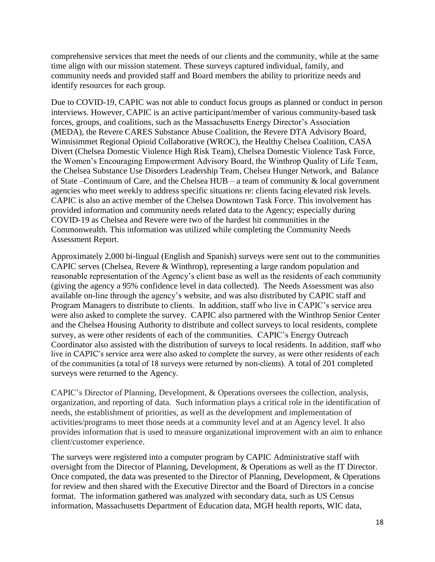comprehensive services that meet the needs of our clients and the community, while at the same time align with our mission statement. These surveys captured individual, family, and community needs and provided staff and Board members the ability to prioritize needs and identify resources for each group.

Due to COVID-19, CAPIC was not able to conduct focus groups as planned or conduct in person interviews. However, CAPIC is an active participant/member of various community-based task forces, groups, and coalitions, such as the Massachusetts Energy Director's Association (MEDA), the Revere CARES Substance Abuse Coalition, the Revere DTA Advisory Board, Winnisimmet Regional Opioid Collaborative (WROC), the Healthy Chelsea Coalition, CASA Divert (Chelsea Domestic Violence High Risk Team), Chelsea Domestic Violence Task Force, the Women's Encouraging Empowerment Advisory Board, the Winthrop Quality of Life Team, the Chelsea Substance Use Disorders Leadership Team, Chelsea Hunger Network, and Balance of State –Continuum of Care, and the Chelsea HUB – a team of community & local government agencies who meet weekly to address specific situations re: clients facing elevated risk levels. CAPIC is also an active member of the Chelsea Downtown Task Force. This involvement has provided information and community needs related data to the Agency; especially during COVID-19 as Chelsea and Revere were two of the hardest hit communities in the Commonwealth. This information was utilized while completing the Community Needs Assessment Report.

Approximately 2,000 bi-lingual (English and Spanish) surveys were sent out to the communities CAPIC serves (Chelsea, Revere & Winthrop), representing a large random population and reasonable representation of the Agency's client base as well as the residents of each community (giving the agency a 95% confidence level in data collected). The Needs Assessment was also available on-line through the agency's website, and was also distributed by CAPIC staff and Program Managers to distribute to clients. In addition, staff who live in CAPIC's service area were also asked to complete the survey. CAPIC also partnered with the Winthrop Senior Center and the Chelsea Housing Authority to distribute and collect surveys to local residents, complete survey, as were other residents of each of the communities. CAPIC's Energy Outreach Coordinator also assisted with the distribution of surveys to local residents. In addition, staff who live in CAPIC's service area were also asked to complete the survey, as were other residents of each of the communities (a total of 18 surveys were returned by non-clients). A total of 201 completed surveys were returned to the Agency.

CAPIC's Director of Planning, Development, & Operations oversees the collection, analysis, organization, and reporting of data. Such information plays a critical role in the identification of needs, the establishment of priorities, as well as the development and implementation of activities/programs to meet those needs at a community level and at an Agency level. It also provides information that is used to measure organizational improvement with an aim to enhance client/customer experience.

The surveys were registered into a computer program by CAPIC Administrative staff with oversight from the Director of Planning, Development, & Operations as well as the IT Director. Once computed, the data was presented to the Director of Planning, Development, & Operations for review and then shared with the Executive Director and the Board of Directors in a concise format. The information gathered was analyzed with secondary data, such as US Census information, Massachusetts Department of Education data, MGH health reports, WIC data,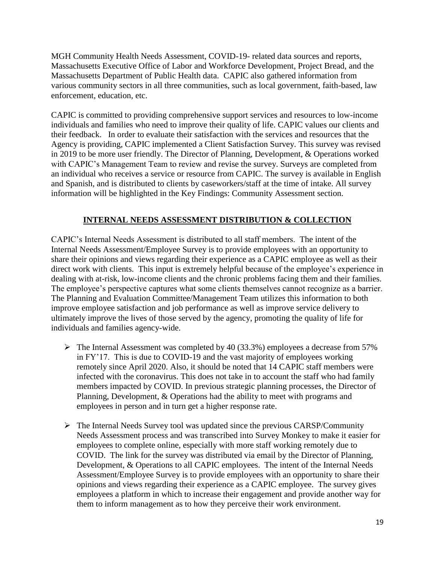MGH Community Health Needs Assessment, COVID-19- related data sources and reports, Massachusetts Executive Office of Labor and Workforce Development, Project Bread, and the Massachusetts Department of Public Health data. CAPIC also gathered information from various community sectors in all three communities, such as local government, faith-based, law enforcement, education, etc.

CAPIC is committed to providing comprehensive support services and resources to low-income individuals and families who need to improve their quality of life. CAPIC values our clients and their feedback. In order to evaluate their satisfaction with the services and resources that the Agency is providing, CAPIC implemented a Client Satisfaction Survey. This survey was revised in 2019 to be more user friendly. The Director of Planning, Development, & Operations worked with CAPIC's Management Team to review and revise the survey. Surveys are completed from an individual who receives a service or resource from CAPIC. The survey is available in English and Spanish, and is distributed to clients by caseworkers/staff at the time of intake. All survey information will be highlighted in the Key Findings: Community Assessment section.

### **INTERNAL NEEDS ASSESSMENT DISTRIBUTION & COLLECTION**

CAPIC's Internal Needs Assessment is distributed to all staff members. The intent of the Internal Needs Assessment/Employee Survey is to provide employees with an opportunity to share their opinions and views regarding their experience as a CAPIC employee as well as their direct work with clients. This input is extremely helpful because of the employee's experience in dealing with at-risk, low-income clients and the chronic problems facing them and their families. The employee's perspective captures what some clients themselves cannot recognize as a barrier. The Planning and Evaluation Committee/Management Team utilizes this information to both improve employee satisfaction and job performance as well as improve service delivery to ultimately improve the lives of those served by the agency, promoting the quality of life for individuals and families agency-wide.

- ➢ The Internal Assessment was completed by 40 (33.3%) employees a decrease from 57% in FY'17. This is due to COVID-19 and the vast majority of employees working remotely since April 2020. Also, it should be noted that 14 CAPIC staff members were infected with the coronavirus. This does not take in to account the staff who had family members impacted by COVID. In previous strategic planning processes, the Director of Planning, Development, & Operations had the ability to meet with programs and employees in person and in turn get a higher response rate.
- $\triangleright$  The Internal Needs Survey tool was updated since the previous CARSP/Community Needs Assessment process and was transcribed into Survey Monkey to make it easier for employees to complete online, especially with more staff working remotely due to COVID. The link for the survey was distributed via email by the Director of Planning, Development, & Operations to all CAPIC employees. The intent of the Internal Needs Assessment/Employee Survey is to provide employees with an opportunity to share their opinions and views regarding their experience as a CAPIC employee. The survey gives employees a platform in which to increase their engagement and provide another way for them to inform management as to how they perceive their work environment.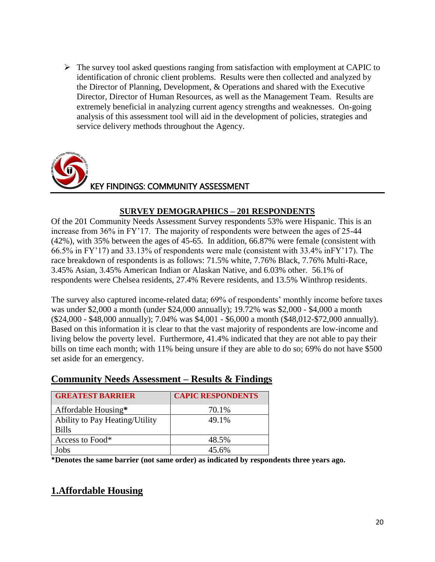$\triangleright$  The survey tool asked questions ranging from satisfaction with employment at CAPIC to identification of chronic client problems. Results were then collected and analyzed by the Director of Planning, Development, & Operations and shared with the Executive Director, Director of Human Resources, as well as the Management Team. Results are extremely beneficial in analyzing current agency strengths and weaknesses. On-going analysis of this assessment tool will aid in the development of policies, strategies and service delivery methods throughout the Agency.



### **SURVEY DEMOGRAPHICS – 201 RESPONDENTS**

Of the 201 Community Needs Assessment Survey respondents 53% were Hispanic. This is an increase from 36% in FY'17. The majority of respondents were between the ages of 25-44 (42%), with 35% between the ages of 45-65. In addition, 66.87% were female (consistent with 66.5% in FY'17) and 33.13% of respondents were male (consistent with 33.4% inFY'17). The race breakdown of respondents is as follows: 71.5% white, 7.76% Black, 7.76% Multi-Race, 3.45% Asian, 3.45% American Indian or Alaskan Native, and 6.03% other. 56.1% of respondents were Chelsea residents, 27.4% Revere residents, and 13.5% Winthrop residents.

The survey also captured income-related data; 69% of respondents' monthly income before taxes was under \$2,000 a month (under \$24,000 annually); 19.72% was \$2,000 - \$4,000 a month (\$24,000 - \$48,000 annually); 7.04% was \$4,001 - \$6,000 a month (\$48,012-\$72,000 annually). Based on this information it is clear to that the vast majority of respondents are low-income and living below the poverty level. Furthermore, 41.4% indicated that they are not able to pay their bills on time each month; with 11% being unsure if they are able to do so; 69% do not have \$500 set aside for an emergency.

# **Community Needs Assessment – Results & Findings**

| <b>GREATEST BARRIER</b>               | <b>CAPIC RESPONDENTS</b> |
|---------------------------------------|--------------------------|
| Affordable Housing*                   | 70.1%                    |
| <b>Ability to Pay Heating/Utility</b> | 49.1%                    |
| <b>Bills</b>                          |                          |
| Access to Food*                       | 48.5%                    |
| Jobs                                  | 45.6%                    |

**\*Denotes the same barrier (not same order) as indicated by respondents three years ago.**

# **1.Affordable Housing**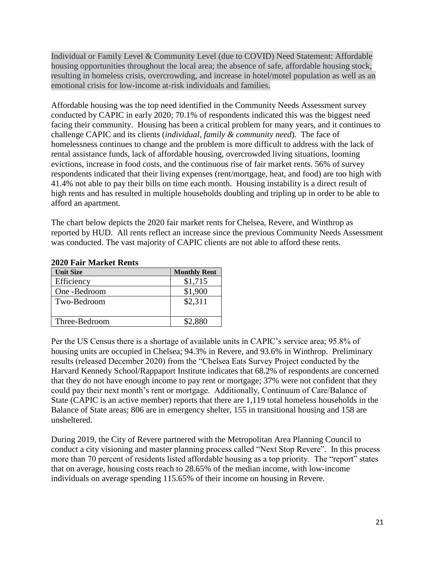Individual or Family Level & Community Level (due to COVID) Need Statement: Affordable housing opportunities throughout the local area; the absence of safe, affordable housing stock, resulting in homeless crisis, overcrowding, and increase in hotel/motel population as well as an emotional crisis for low-income at-risk individuals and families.

Affordable housing was the top need identified in the Community Needs Assessment survey conducted by CAPIC in early 2020; 70.1% of respondents indicated this was the biggest need facing their community. Housing has been a critical problem for many years, and it continues to challenge CAPIC and its clients (*individual, family & community need*). The face of homelessness continues to change and the problem is more difficult to address with the lack of rental assistance funds, lack of affordable housing, overcrowded living situations, looming evictions, increase in food costs, and the continuous rise of fair market rents. 56% of survey respondents indicated that their living expenses (rent/mortgage, heat, and food) are too high with 41.4% not able to pay their bills on time each month. Housing instability is a direct result of high rents and has resulted in multiple households doubling and tripling up in order to be able to afford an apartment.

The chart below depicts the 2020 fair market rents for Chelsea, Revere, and Winthrop as reported by HUD. All rents reflect an increase since the previous Community Needs Assessment was conducted. The vast majority of CAPIC clients are not able to afford these rents.

| $2020$ rail ivial net nems |                     |  |
|----------------------------|---------------------|--|
| <b>Unit Size</b>           | <b>Monthly Rent</b> |  |
| Efficiency                 | \$1,715             |  |
| One -Bedroom               | \$1,900             |  |
| Two-Bedroom                | \$2,311             |  |
|                            |                     |  |
| Three-Bedroom              | \$2,880             |  |

### **2020 Fair Market Rents**

Per the US Census there is a shortage of available units in CAPIC's service area; 95.8% of housing units are occupied in Chelsea; 94.3% in Revere, and 93.6% in Winthrop. Preliminary results (released December 2020) from the "Chelsea Eats Survey Project conducted by the Harvard Kennedy School/Rappaport Institute indicates that 68.2% of respondents are concerned that they do not have enough income to pay rent or mortgage; 37% were not confident that they could pay their next month's rent or mortgage. Additionally, Continuum of Care/Balance of State (CAPIC is an active member) reports that there are 1,119 total homeless households in the Balance of State areas; 806 are in emergency shelter, 155 in transitional housing and 158 are unsheltered.

During 2019, the City of Revere partnered with the Metropolitan Area Planning Council to conduct a city visioning and master planning process called "Next Stop Revere". In this process more than 70 percent of residents listed affordable housing as a top priority. The "report" states that on average, housing costs reach to 28.65% of the median income, with low-income individuals on average spending 115.65% of their income on housing in Revere.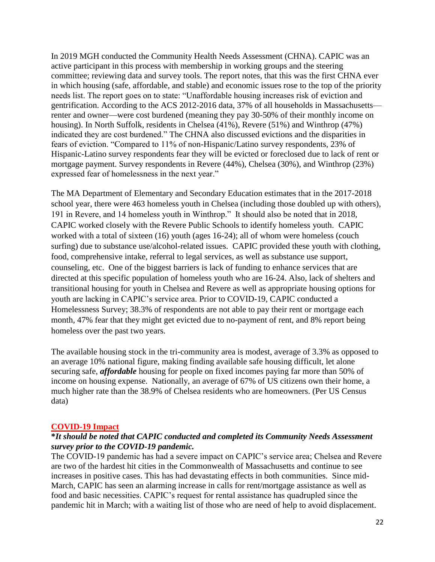In 2019 MGH conducted the Community Health Needs Assessment (CHNA). CAPIC was an active participant in this process with membership in working groups and the steering committee; reviewing data and survey tools. The report notes, that this was the first CHNA ever in which housing (safe, affordable, and stable) and economic issues rose to the top of the priority needs list. The report goes on to state: "Unaffordable housing increases risk of eviction and gentrification. According to the ACS 2012-2016 data, 37% of all households in Massachusetts renter and owner—were cost burdened (meaning they pay 30-50% of their monthly income on housing). In North Suffolk, residents in Chelsea (41%), Revere (51%) and Winthrop (47%) indicated they are cost burdened." The CHNA also discussed evictions and the disparities in fears of eviction. "Compared to 11% of non-Hispanic/Latino survey respondents, 23% of Hispanic-Latino survey respondents fear they will be evicted or foreclosed due to lack of rent or mortgage payment. Survey respondents in Revere (44%), Chelsea (30%), and Winthrop (23%) expressed fear of homelessness in the next year."

The MA Department of Elementary and Secondary Education estimates that in the 2017-2018 school year, there were 463 homeless youth in Chelsea (including those doubled up with others), 191 in Revere, and 14 homeless youth in Winthrop." It should also be noted that in 2018, CAPIC worked closely with the Revere Public Schools to identify homeless youth. CAPIC worked with a total of sixteen (16) youth (ages 16-24); all of whom were homeless (couch surfing) due to substance use/alcohol-related issues. CAPIC provided these youth with clothing, food, comprehensive intake, referral to legal services, as well as substance use support, counseling, etc. One of the biggest barriers is lack of funding to enhance services that are directed at this specific population of homeless youth who are 16-24. Also, lack of shelters and transitional housing for youth in Chelsea and Revere as well as appropriate housing options for youth are lacking in CAPIC's service area. Prior to COVID-19, CAPIC conducted a Homelessness Survey; 38.3% of respondents are not able to pay their rent or mortgage each month, 47% fear that they might get evicted due to no-payment of rent, and 8% report being homeless over the past two years.

The available housing stock in the tri-community area is modest, average of 3.3% as opposed to an average 10% national figure, making finding available safe housing difficult, let alone securing safe, *affordable* housing for people on fixed incomes paying far more than 50% of income on housing expense. Nationally, an average of 67% of US citizens own their home, a much higher rate than the 38.9% of Chelsea residents who are homeowners. (Per US Census data)

### **COVID-19 Impact**

### **\****It should be noted that CAPIC conducted and completed its Community Needs Assessment survey prior to the COVID-19 pandemic.*

The COVID-19 pandemic has had a severe impact on CAPIC's service area; Chelsea and Revere are two of the hardest hit cities in the Commonwealth of Massachusetts and continue to see increases in positive cases. This has had devastating effects in both communities. Since mid-March, CAPIC has seen an alarming increase in calls for rent/mortgage assistance as well as food and basic necessities. CAPIC's request for rental assistance has quadrupled since the pandemic hit in March; with a waiting list of those who are need of help to avoid displacement.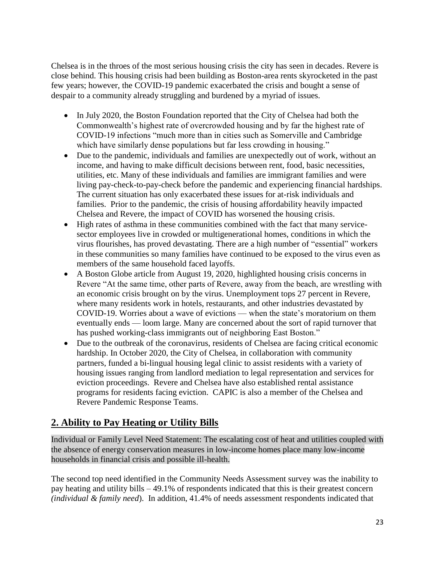Chelsea is in the throes of the most serious housing crisis the city has seen in decades. Revere is close behind. This housing crisis had been building as Boston-area rents skyrocketed in the past few years; however, the COVID-19 pandemic exacerbated the crisis and bought a sense of despair to a community already struggling and burdened by a myriad of issues.

- In July 2020, the Boston Foundation reported that the City of Chelsea had both the Commonwealth's highest rate of overcrowded housing and by far the highest rate of COVID-19 infections "much more than in cities such as Somerville and Cambridge which have similarly dense populations but far less crowding in housing."
- Due to the pandemic, individuals and families are unexpectedly out of work, without an income, and having to make difficult decisions between rent, food, basic necessities, utilities, etc. Many of these individuals and families are immigrant families and were living pay-check-to-pay-check before the pandemic and experiencing financial hardships. The current situation has only exacerbated these issues for at-risk individuals and families. Prior to the pandemic, the crisis of housing affordability heavily impacted Chelsea and Revere, the impact of COVID has worsened the housing crisis.
- High rates of asthma in these communities combined with the fact that many servicesector employees live in crowded or multigenerational homes, conditions in which the virus flourishes, has proved devastating. There are a high number of ["essential" workers](https://www.washingtonpost.com/business/2020/04/06/why-do-so-many-essential-workers-get-paid-so-little-heres-what-economists-have-say/?itid=lk_inline_manual_8) in these communities so many families have continued to be exposed to the virus even as members of the same household faced layoffs.
- A Boston Globe article from August 19, 2020, highlighted housing crisis concerns in Revere "At the same time, other parts of Revere, away from the beach, are wrestling with an economic crisis brought on by the virus. Unemployment tops 27 percent in Revere, where many residents work in hotels, restaurants, and other industries devastated by COVID-19. Worries about a wave of evictions — when the state's moratorium on them eventually ends — loom large. Many are concerned about the sort of rapid turnover that has pushed working-class immigrants out of neighboring East Boston."
- Due to the outbreak of the coronavirus, residents of Chelsea are facing critical economic hardship. In October 2020, the City of Chelsea, in collaboration with community partners, funded a bi-lingual housing legal clinic to assist residents with a variety of housing issues ranging from landlord mediation to legal representation and services for eviction proceedings. Revere and Chelsea have also established rental assistance programs for residents facing eviction. CAPIC is also a member of the Chelsea and Revere Pandemic Response Teams.

# **2. Ability to Pay Heating or Utility Bills**

Individual or Family Level Need Statement: The escalating cost of heat and utilities coupled with the absence of energy conservation measures in low-income homes place many low-income households in financial crisis and possible ill-health.

The second top need identified in the Community Needs Assessment survey was the inability to pay heating and utility bills – 49.1% of respondents indicated that this is their greatest concern *(individual & family need*).In addition, 41.4% of needs assessment respondents indicated that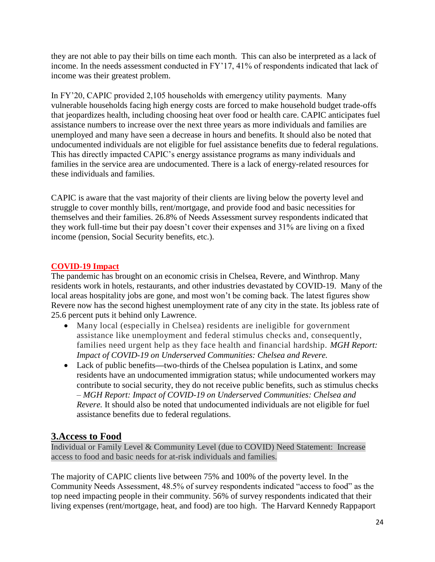they are not able to pay their bills on time each month. This can also be interpreted as a lack of income. In the needs assessment conducted in FY'17, 41% of respondents indicated that lack of income was their greatest problem.

In FY'20, CAPIC provided 2,105 households with emergency utility payments. Many vulnerable households facing high energy costs are forced to make household budget trade-offs that jeopardizes health, including choosing heat over food or health care. CAPIC anticipates fuel assistance numbers to increase over the next three years as more individuals and families are unemployed and many have seen a decrease in hours and benefits. It should also be noted that undocumented individuals are not eligible for fuel assistance benefits due to federal regulations. This has directly impacted CAPIC's energy assistance programs as many individuals and families in the service area are undocumented. There is a lack of energy-related resources for these individuals and families.

CAPIC is aware that the vast majority of their clients are living below the poverty level and struggle to cover monthly bills, rent/mortgage, and provide food and basic necessities for themselves and their families. 26.8% of Needs Assessment survey respondents indicated that they work full-time but their pay doesn't cover their expenses and 31% are living on a fixed income (pension, Social Security benefits, etc.).

### **COVID-19 Impact**

The pandemic has brought on an economic crisis in Chelsea, Revere, and Winthrop. Many residents work in hotels, restaurants, and other industries devastated by COVID-19. Many of the local areas hospitality jobs are gone, and most won't be coming back. The latest figures show Revere now has the second highest unemployment rate of any city in the state. Its jobless rate of 25.6 percent puts it behind only Lawrence.

- Many local (especially in Chelsea) residents are ineligible for government assistance like unemployment and federal stimulus checks and, consequently, families need urgent help as they face health and financial hardship. *MGH Report: Impact of COVID-19 on Underserved Communities: Chelsea and Revere.*
- Lack of public benefits**—**two-thirds of the Chelsea population is Latinx, and some residents have an undocumented immigration status; while undocumented workers may contribute to social security, they do not receive public benefits, such as stimulus checks – *MGH Report: Impact of COVID-19 on Underserved Communities: Chelsea and Revere.* It should also be noted that undocumented individuals are not eligible for fuel assistance benefits due to federal regulations.

# **3.Access to Food**

Individual or Family Level & Community Level (due to COVID) Need Statement: Increase access to food and basic needs for at-risk individuals and families.

The majority of CAPIC clients live between 75% and 100% of the poverty level. In the Community Needs Assessment, 48.5% of survey respondents indicated "access to food" as the top need impacting people in their community. 56% of survey respondents indicated that their living expenses (rent/mortgage, heat, and food) are too high. The Harvard Kennedy Rappaport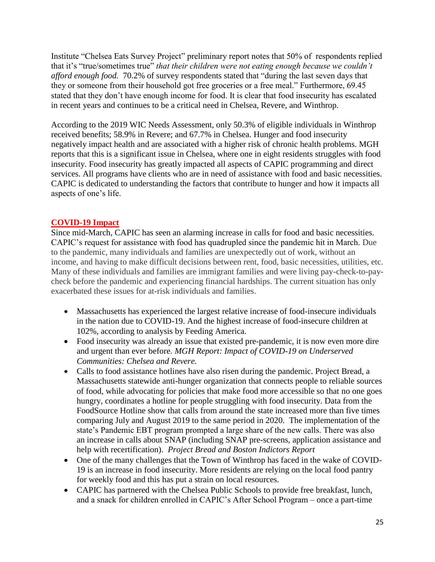Institute "Chelsea Eats Survey Project" preliminary report notes that 50% of respondents replied that it's "true/sometimes true" *that their children were not eating enough because we couldn't afford enough food.* 70.2% of survey respondents stated that "during the last seven days that they or someone from their household got free groceries or a free meal." Furthermore, 69.45 stated that they don't have enough income for food. It is clear that food insecurity has escalated in recent years and continues to be a critical need in Chelsea, Revere, and Winthrop.

According to the 2019 WIC Needs Assessment, only 50.3% of eligible individuals in Winthrop received benefits; 58.9% in Revere; and 67.7% in Chelsea. Hunger and food insecurity negatively impact health and are associated with a higher risk of chronic health problems. MGH reports that this is a significant issue in Chelsea, where one in eight residents struggles with food insecurity. Food insecurity has greatly impacted all aspects of CAPIC programming and direct services. All programs have clients who are in need of assistance with food and basic necessities. CAPIC is dedicated to understanding the factors that contribute to hunger and how it impacts all aspects of one's life.

### **COVID-19 Impact**

Since mid-March, CAPIC has seen an alarming increase in calls for food and basic necessities. CAPIC's request for assistance with food has quadrupled since the pandemic hit in March. Due to the pandemic, many individuals and families are unexpectedly out of work, without an income, and having to make difficult decisions between rent, food, basic necessities, utilities, etc. Many of these individuals and families are immigrant families and were living pay-check-to-paycheck before the pandemic and experiencing financial hardships. The current situation has only exacerbated these issues for at-risk individuals and families.

- Massachusetts has experienced the largest relative increase of food-insecure individuals in the nation due to COVID-19. And the highest increase of food-insecure children at 102%, according to analysis by Feeding America.
- Food insecurity was already an issue that existed pre-pandemic, it is now even more dire and urgent than ever before. *MGH Report: Impact of COVID-19 on Underserved Communities: Chelsea and Revere.*
- Calls to food assistance hotlines have also risen during the pandemic. Project Bread, a Massachusetts statewide anti-hunger organization that connects people to reliable sources of food, while advocating for policies that make food more accessible so that no one goes hungry, coordinates a hotline for people struggling with food insecurity. Data from the FoodSource Hotline show that calls from around the state increased more than five times comparing July and August 2019 to the same period in 2020. The implementation of the state's Pandemic EBT program prompted a large share of the new calls. There was also an increase in calls about SNAP (including SNAP pre-screens, application assistance and help with recertification). *Project Bread and Boston Indictors Report*
- One of the many challenges that the Town of Winthrop has faced in the wake of COVID-19 is an increase in food insecurity. More residents are relying on the local food pantry for weekly food and this has put a strain on local resources.
- CAPIC has partnered with the Chelsea Public Schools to provide free breakfast, lunch, and a snack for children enrolled in CAPIC's After School Program – once a part-time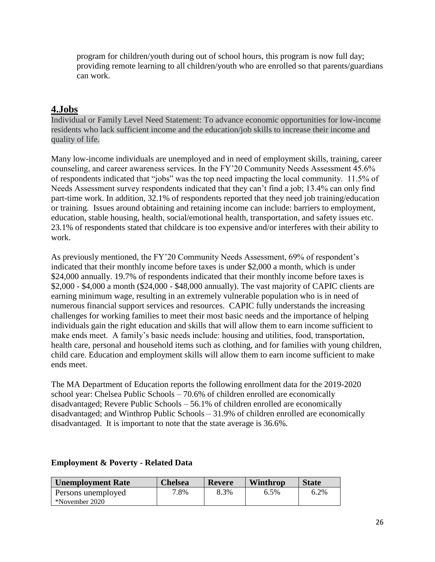program for children/youth during out of school hours, this program is now full day; providing remote learning to all children/youth who are enrolled so that parents/guardians can work.

### **4.Jobs**

Individual or Family Level Need Statement: To advance economic opportunities for low-income residents who lack sufficient income and the education/job skills to increase their income and quality of life.

Many low-income individuals are unemployed and in need of employment skills, training, career counseling, and career awareness services. In the FY'20 Community Needs Assessment 45.6% of respondents indicated that "jobs" was the top need impacting the local community. 11.5% of Needs Assessment survey respondents indicated that they can't find a job; 13.4% can only find part-time work. In addition, 32.1% of respondents reported that they need job training/education or training. Issues around obtaining and retaining income can include: barriers to employment, education, stable housing, health, social/emotional health, transportation, and safety issues etc. 23.1% of respondents stated that childcare is too expensive and/or interferes with their ability to work.

As previously mentioned, the FY'20 Community Needs Assessment, 69% of respondent's indicated that their monthly income before taxes is under \$2,000 a month, which is under \$24,000 annually. 19.7% of respondents indicated that their monthly income before taxes is \$2,000 - \$4,000 a month (\$24,000 - \$48,000 annually). The vast majority of CAPIC clients are earning minimum wage, resulting in an extremely vulnerable population who is in need of numerous financial support services and resources. CAPIC fully understands the increasing challenges for working families to meet their most basic needs and the importance of helping individuals gain the right education and skills that will allow them to earn income sufficient to make ends meet. A family's basic needs include: housing and utilities, food, transportation, health care, personal and household items such as clothing, and for families with young children, child care. Education and employment skills will allow them to earn income sufficient to make ends meet.

The MA Department of Education reports the following enrollment data for the 2019-2020 school year: Chelsea Public Schools – 70.6% of children enrolled are economically disadvantaged; Revere Public Schools – 56.1% of children enrolled are economically disadvantaged; and Winthrop Public Schools – 31.9% of children enrolled are economically disadvantaged. It is important to note that the state average is 36.6%.

| Unemployment Rate  | Chelsea | Revere | <b>Winthrop</b> | <b>State</b> |
|--------------------|---------|--------|-----------------|--------------|
| Persons unemployed | 7.8%    | 8.3%   | $6.5\%$         | 6.2%         |
| *November 2020     |         |        |                 |              |

### **Employment & Poverty - Related Data**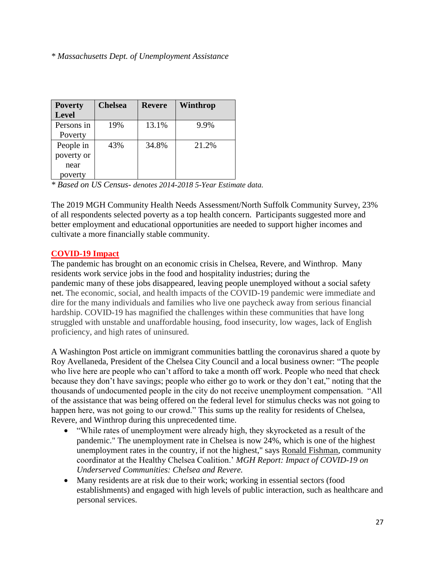### *\* Massachusetts Dept. of Unemployment Assistance*

| <b>Poverty</b> | <b>Chelsea</b> | <b>Revere</b> | Winthrop |
|----------------|----------------|---------------|----------|
| <b>Level</b>   |                |               |          |
| Persons in     | 19%            | 13.1%         | 9.9%     |
| Poverty        |                |               |          |
| People in      | 43%            | 34.8%         | 21.2%    |
| poverty or     |                |               |          |
| near           |                |               |          |
| poverty        |                |               |          |

*\* Based on US Census- denotes 2014-2018 5-Year Estimate data.*

The 2019 MGH Community Health Needs Assessment/North Suffolk Community Survey, 23% of all respondents selected poverty as a top health concern. Participants suggested more and better employment and educational opportunities are needed to support higher incomes and cultivate a more financially stable community.

### **COVID-19 Impact**

The pandemic has brought on an economic crisis in Chelsea, Revere, and Winthrop. Many residents work service jobs in the food and hospitality industries; during the pandemic many of these jobs disappeared, leaving people unemployed without a social safety net. The economic, social, and health impacts of the COVID-19 pandemic were immediate and dire for the many individuals and families who live one paycheck away from serious financial hardship. COVID-19 has magnified the challenges within these communities that have long struggled with unstable and unaffordable housing, food insecurity, low wages, lack of English proficiency, and high rates of uninsured.

A Washington Post article on immigrant communities battling the coronavirus shared a quote by Roy Avellaneda, President of the Chelsea City Council and a local business owner: "The people who live here are people who can't afford to take a month off work. People who need that check because they don't have savings; people who either go to work or they don't eat," noting that the thousands of undocumented people in the city do not receive unemployment compensation. "All of the assistance that was being offered on the federal level for stimulus checks was not going to happen here, was not going to our crowd." This sums up the reality for residents of Chelsea, Revere, and Winthrop during this unprecedented time.

- "While rates of unemployment were already high, they skyrocketed as a result of the pandemic." The unemployment rate in Chelsea is now 24%, which is one of the highest unemployment rates in the country, if not the highest," says [Ronald Fishman,](http://healthychelsea.org/staff/ron-fishman/) community coordinator at the Healthy Chelsea Coalition.' *MGH Report: Impact of COVID-19 on Underserved Communities: Chelsea and Revere.*
- Many residents are at risk due to their work; working in essential sectors (food establishments) and engaged with high levels of public interaction, such as healthcare and personal services.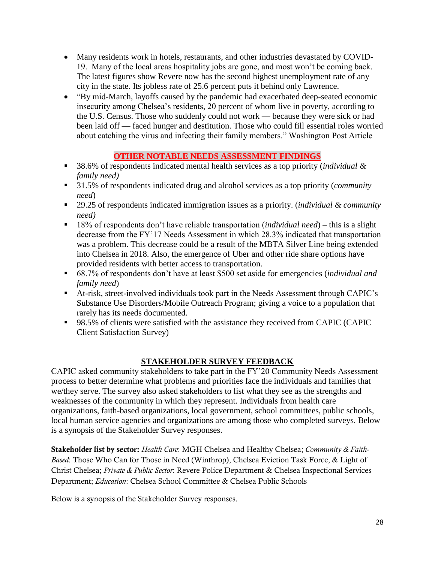- Many residents work in hotels, restaurants, and other industries devastated by COVID-19. Many of the local areas hospitality jobs are gone, and most won't be coming back. The latest figures show Revere now has the second highest unemployment rate of any city in the state. Its jobless rate of 25.6 percent puts it behind only Lawrence.
- "By mid-March, layoffs caused by the pandemic had exacerbated deep-seated economic insecurity among Chelsea's residents, 20 percent of whom live in poverty, according to the U.S. Census. Those who suddenly could not work — because they were sick or had been laid off — faced hunger and destitution. Those who could fill essential roles worried about catching the virus and infecting their family members." Washington Post Article

### **OTHER NOTABLE NEEDS ASSESSMENT FINDINGS**

- 38.6% of respondents indicated mental health services as a top priority *(individual & family need)*
- 31.5% of respondents indicated drug and alcohol services as a top priority (*community need*)
- 29.25 of respondents indicated immigration issues as a priority. *(individual & community need)*
- 18% of respondents don't have reliable transportation (*individual need*) this is a slight decrease from the FY'17 Needs Assessment in which 28.3% indicated that transportation was a problem. This decrease could be a result of the MBTA Silver Line being extended into Chelsea in 2018. Also, the emergence of Uber and other ride share options have provided residents with better access to transportation.
- 68.7% of respondents don't have at least \$500 set aside for emergencies (*individual and family need*)
- At-risk, street-involved individuals took part in the Needs Assessment through CAPIC's Substance Use Disorders/Mobile Outreach Program; giving a voice to a population that rarely has its needs documented.
- 98.5% of clients were satisfied with the assistance they received from CAPIC (CAPIC Client Satisfaction Survey)

## **STAKEHOLDER SURVEY FEEDBACK**

CAPIC asked community stakeholders to take part in the FY'20 Community Needs Assessment process to better determine what problems and priorities face the individuals and families that we/they serve. The survey also asked stakeholders to list what they see as the strengths and weaknesses of the community in which they represent. Individuals from health care organizations, faith-based organizations, local government, school committees, public schools, local human service agencies and organizations are among those who completed surveys. Below is a synopsis of the Stakeholder Survey responses.

Stakeholder list by sector: *Health Care*: MGH Chelsea and Healthy Chelsea; *Community & Faith-Based*: Those Who Can for Those in Need (Winthrop), Chelsea Eviction Task Force, & Light of Christ Chelsea; *Private & Public Sector*: Revere Police Department & Chelsea Inspectional Services Department; *Education*: Chelsea School Committee & Chelsea Public Schools

Below is a synopsis of the Stakeholder Survey responses.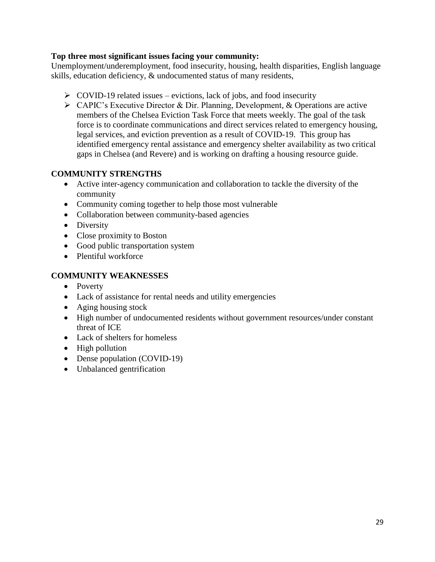### **Top three most significant issues facing your community:**

Unemployment/underemployment, food insecurity, housing, health disparities, English language skills, education deficiency, & undocumented status of many residents,

- $\triangleright$  COVID-19 related issues evictions, lack of jobs, and food insecurity
- ➢ CAPIC's Executive Director & Dir. Planning, Development, & Operations are active members of the Chelsea Eviction Task Force that meets weekly. The goal of the task force is to coordinate communications and direct services related to emergency housing, legal services, and eviction prevention as a result of COVID-19. This group has identified emergency rental assistance and emergency shelter availability as two critical gaps in Chelsea (and Revere) and is working on drafting a housing resource guide.

### **COMMUNITY STRENGTHS**

- Active inter-agency communication and collaboration to tackle the diversity of the community
- Community coming together to help those most vulnerable
- Collaboration between community-based agencies
- Diversity
- Close proximity to Boston
- Good public transportation system
- Plentiful workforce

### **COMMUNITY WEAKNESSES**

- Poverty
- Lack of assistance for rental needs and utility emergencies
- Aging housing stock
- High number of undocumented residents without government resources/under constant threat of ICE
- Lack of shelters for homeless
- High pollution
- Dense population (COVID-19)
- Unbalanced gentrification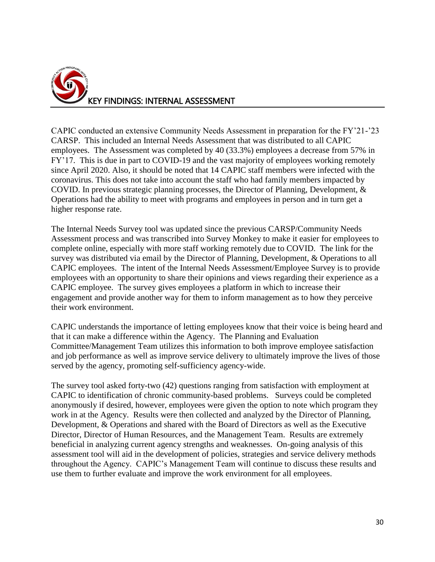

CAPIC conducted an extensive Community Needs Assessment in preparation for the FY'21-'23 CARSP. This included an Internal Needs Assessment that was distributed to all CAPIC employees. The Assessment was completed by 40 (33.3%) employees a decrease from 57% in FY'17. This is due in part to COVID-19 and the vast majority of employees working remotely since April 2020. Also, it should be noted that 14 CAPIC staff members were infected with the coronavirus. This does not take into account the staff who had family members impacted by COVID. In previous strategic planning processes, the Director of Planning, Development, & Operations had the ability to meet with programs and employees in person and in turn get a higher response rate.

The Internal Needs Survey tool was updated since the previous CARSP/Community Needs Assessment process and was transcribed into Survey Monkey to make it easier for employees to complete online, especially with more staff working remotely due to COVID. The link for the survey was distributed via email by the Director of Planning, Development, & Operations to all CAPIC employees. The intent of the Internal Needs Assessment/Employee Survey is to provide employees with an opportunity to share their opinions and views regarding their experience as a CAPIC employee. The survey gives employees a platform in which to increase their engagement and provide another way for them to inform management as to how they perceive their work environment.

CAPIC understands the importance of letting employees know that their voice is being heard and that it can make a difference within the Agency. The Planning and Evaluation Committee/Management Team utilizes this information to both improve employee satisfaction and job performance as well as improve service delivery to ultimately improve the lives of those served by the agency, promoting self-sufficiency agency-wide.

The survey tool asked forty-two (42) questions ranging from satisfaction with employment at CAPIC to identification of chronic community-based problems. Surveys could be completed anonymously if desired, however, employees were given the option to note which program they work in at the Agency. Results were then collected and analyzed by the Director of Planning, Development, & Operations and shared with the Board of Directors as well as the Executive Director, Director of Human Resources, and the Management Team. Results are extremely beneficial in analyzing current agency strengths and weaknesses. On-going analysis of this assessment tool will aid in the development of policies, strategies and service delivery methods throughout the Agency. CAPIC's Management Team will continue to discuss these results and use them to further evaluate and improve the work environment for all employees.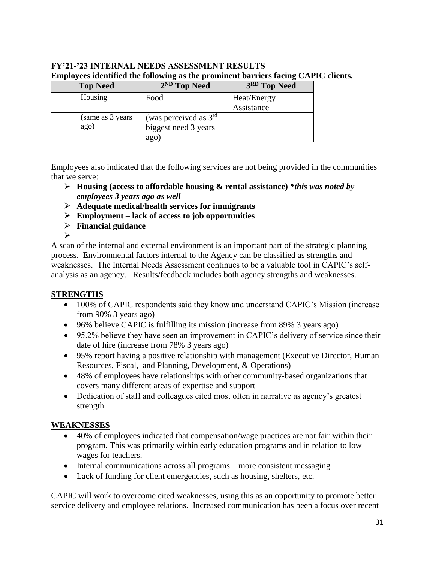# **FY'21-'23 INTERNAL NEEDS ASSESSMENT RESULTS Employees identified the following as the prominent barriers facing CAPIC clients.**

| <b>Top Need</b>   | 2 <sup>ND</sup> Top Need | 3RD Top Need |
|-------------------|--------------------------|--------------|
| Housing           | Food                     | Heat/Energy  |
|                   |                          | Assistance   |
| (same as 3 years) | (was perceived as $3rd$  |              |
| ago)              | biggest need 3 years     |              |
|                   | ago)                     |              |

Employees also indicated that the following services are not being provided in the communities that we serve:

- ➢ **Housing (access to affordable housing & rental assistance)** *\*this was noted by employees 3 years ago as well*
- ➢ **Adequate medical/health services for immigrants**
- ➢ **Employment – lack of access to job opportunities**
- ➢ **Financial guidance** ➢

A scan of the internal and external environment is an important part of the strategic planning process. Environmental factors internal to the Agency can be classified as strengths and weaknesses. The Internal Needs Assessment continues to be a valuable tool in CAPIC's selfanalysis as an agency. Results/feedback includes both agency strengths and weaknesses.

## **STRENGTHS**

- 100% of CAPIC respondents said they know and understand CAPIC's Mission (increase from 90% 3 years ago)
- 96% believe CAPIC is fulfilling its mission (increase from 89% 3 years ago)
- 95.2% believe they have seen an improvement in CAPIC's delivery of service since their date of hire (increase from 78% 3 years ago)
- 95% report having a positive relationship with management (Executive Director, Human Resources, Fiscal, and Planning, Development, & Operations)
- 48% of employees have relationships with other community-based organizations that covers many different areas of expertise and support
- Dedication of staff and colleagues cited most often in narrative as agency's greatest strength.

## **WEAKNESSES**

- 40% of employees indicated that compensation/wage practices are not fair within their program. This was primarily within early education programs and in relation to low wages for teachers.
- Internal communications across all programs more consistent messaging
- Lack of funding for client emergencies, such as housing, shelters, etc.

CAPIC will work to overcome cited weaknesses, using this as an opportunity to promote better service delivery and employee relations. Increased communication has been a focus over recent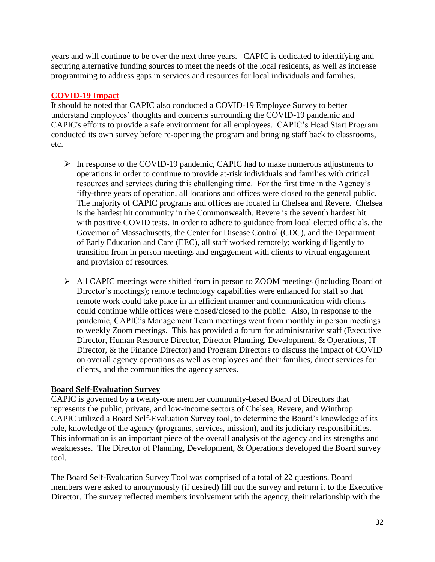years and will continue to be over the next three years. CAPIC is dedicated to identifying and securing alternative funding sources to meet the needs of the local residents, as well as increase programming to address gaps in services and resources for local individuals and families.

### **COVID-19 Impact**

It should be noted that CAPIC also conducted a COVID-19 Employee Survey to better understand employees' thoughts and concerns surrounding the COVID-19 pandemic and CAPIC's efforts to provide a safe environment for all employees. CAPIC's Head Start Program conducted its own survey before re-opening the program and bringing staff back to classrooms, etc.

- ➢ In response to the COVID-19 pandemic, CAPIC had to make numerous adjustments to operations in order to continue to provide at-risk individuals and families with critical resources and services during this challenging time. For the first time in the Agency's fifty-three years of operation, all locations and offices were closed to the general public. The majority of CAPIC programs and offices are located in Chelsea and Revere. Chelsea is the hardest hit community in the Commonwealth. Revere is the seventh hardest hit with positive COVID tests. In order to adhere to guidance from local elected officials, the Governor of Massachusetts, the Center for Disease Control (CDC), and the Department of Early Education and Care (EEC), all staff worked remotely; working diligently to transition from in person meetings and engagement with clients to virtual engagement and provision of resources.
- ➢ All CAPIC meetings were shifted from in person to ZOOM meetings (including Board of Director's meetings); remote technology capabilities were enhanced for staff so that remote work could take place in an efficient manner and communication with clients could continue while offices were closed/closed to the public. Also, in response to the pandemic, CAPIC's Management Team meetings went from monthly in person meetings to weekly Zoom meetings. This has provided a forum for administrative staff (Executive Director, Human Resource Director, Director Planning, Development, & Operations, IT Director, & the Finance Director) and Program Directors to discuss the impact of COVID on overall agency operations as well as employees and their families, direct services for clients, and the communities the agency serves.

### **Board Self-Evaluation Survey**

CAPIC is governed by a twenty-one member community-based Board of Directors that represents the public, private, and low-income sectors of Chelsea, Revere, and Winthrop. CAPIC utilized a Board Self-Evaluation Survey tool, to determine the Board's knowledge of its role, knowledge of the agency (programs, services, mission), and its judiciary responsibilities. This information is an important piece of the overall analysis of the agency and its strengths and weaknesses. The Director of Planning, Development, & Operations developed the Board survey tool.

The Board Self-Evaluation Survey Tool was comprised of a total of 22 questions. Board members were asked to anonymously (if desired) fill out the survey and return it to the Executive Director. The survey reflected members involvement with the agency, their relationship with the